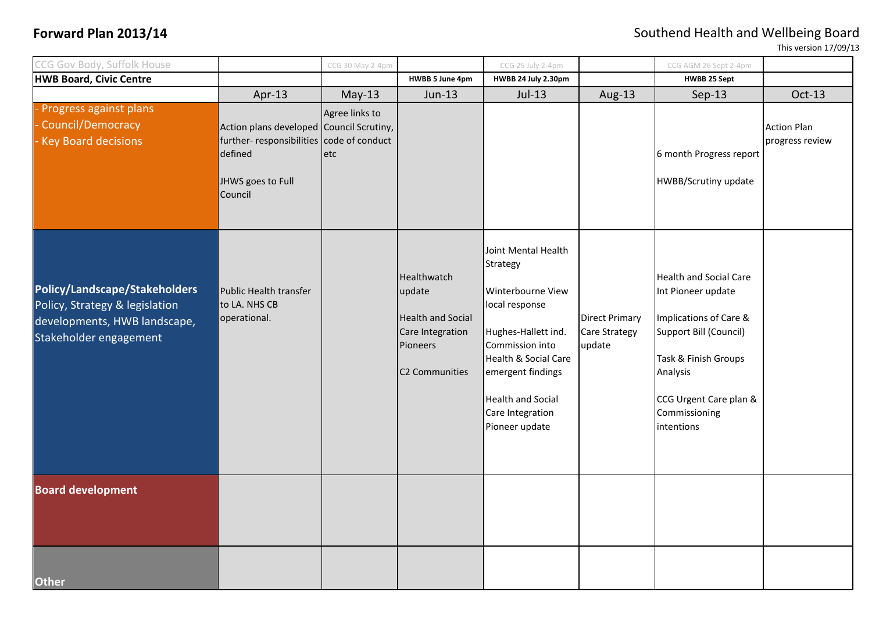**Forward Plan 2013/14 Southend Health and Wellbeing Board** 

This version 17/09/13

| CCG Gov Body, Suffolk House                                                                                               |                                                                                                                                 | CCG 30 May 2-4pm      |                                                                                                     | CCG 25 July 2-4pm                                                                                                                                                                                                               |                                                         | CCG AGM 26 Sept 2-4pm                                                                                                                                                                                |                                       |
|---------------------------------------------------------------------------------------------------------------------------|---------------------------------------------------------------------------------------------------------------------------------|-----------------------|-----------------------------------------------------------------------------------------------------|---------------------------------------------------------------------------------------------------------------------------------------------------------------------------------------------------------------------------------|---------------------------------------------------------|------------------------------------------------------------------------------------------------------------------------------------------------------------------------------------------------------|---------------------------------------|
| <b>HWB Board, Civic Centre</b>                                                                                            |                                                                                                                                 |                       | HWBB 5 June 4pm                                                                                     | HWBB 24 July 2.30pm                                                                                                                                                                                                             |                                                         | <b>HWBB 25 Sept</b>                                                                                                                                                                                  |                                       |
|                                                                                                                           | Apr-13                                                                                                                          | $May-13$              | Jun-13                                                                                              | $Jul-13$                                                                                                                                                                                                                        | Aug-13                                                  | $Sep-13$                                                                                                                                                                                             | Oct-13                                |
| Progress against plans<br>Council/Democracy<br><b>Key Board decisions</b>                                                 | Action plans developed Council Scrutiny,<br>further-responsibilities code of conduct<br>defined<br>JHWS goes to Full<br>Council | Agree links to<br>etc |                                                                                                     |                                                                                                                                                                                                                                 |                                                         | 6 month Progress report<br><b>HWBB/Scrutiny update</b>                                                                                                                                               | <b>Action Plan</b><br>progress review |
| Policy/Landscape/Stakeholders<br>Policy, Strategy & legislation<br>developments, HWB landscape,<br>Stakeholder engagement | Public Health transfer<br>to LA. NHS CB<br>operational.                                                                         |                       | Healthwatch<br>update<br><b>Health and Social</b><br>Care Integration<br>Pioneers<br>C2 Communities | Joint Mental Health<br>Strategy<br>Winterbourne View<br>local response<br>Hughes-Hallett ind.<br>Commission into<br>Health & Social Care<br>emergent findings<br><b>Health and Social</b><br>Care Integration<br>Pioneer update | <b>Direct Primary</b><br><b>Care Strategy</b><br>update | <b>Health and Social Care</b><br>Int Pioneer update<br>Implications of Care &<br>Support Bill (Council)<br>Task & Finish Groups<br>Analysis<br>CCG Urgent Care plan &<br>Commissioning<br>intentions |                                       |
| <b>Board development</b>                                                                                                  |                                                                                                                                 |                       |                                                                                                     |                                                                                                                                                                                                                                 |                                                         |                                                                                                                                                                                                      |                                       |
| <b>Other</b>                                                                                                              |                                                                                                                                 |                       |                                                                                                     |                                                                                                                                                                                                                                 |                                                         |                                                                                                                                                                                                      |                                       |